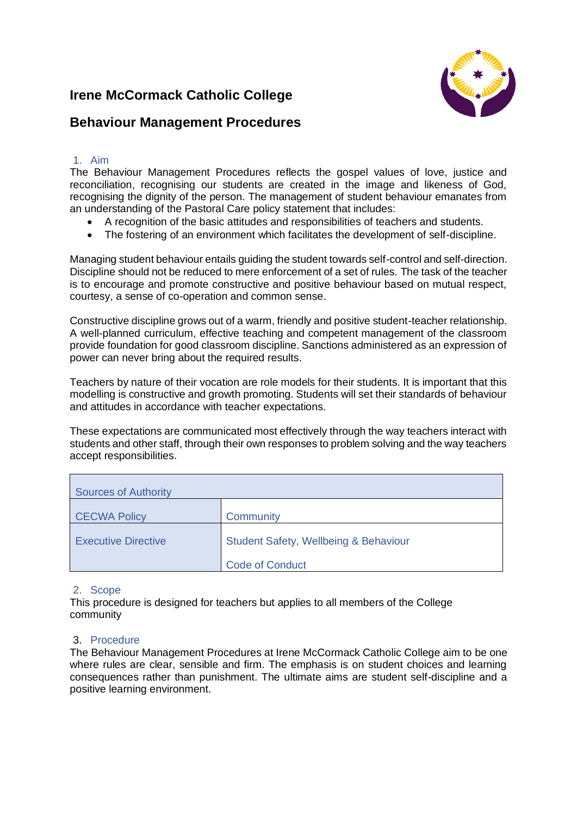# **Irene McCormack Catholic College**



## **Behaviour Management Procedures**

## 1. Aim

The Behaviour Management Procedures reflects the gospel values of love, justice and reconciliation, recognising our students are created in the image and likeness of God, recognising the dignity of the person. The management of student behaviour emanates from an understanding of the Pastoral Care policy statement that includes:

- A recognition of the basic attitudes and responsibilities of teachers and students.
- The fostering of an environment which facilitates the development of self-discipline.

Managing student behaviour entails guiding the student towards self-control and self-direction. Discipline should not be reduced to mere enforcement of a set of rules. The task of the teacher is to encourage and promote constructive and positive behaviour based on mutual respect, courtesy, a sense of co-operation and common sense.

Constructive discipline grows out of a warm, friendly and positive student-teacher relationship. A well-planned curriculum, effective teaching and competent management of the classroom provide foundation for good classroom discipline. Sanctions administered as an expression of power can never bring about the required results.

Teachers by nature of their vocation are role models for their students. It is important that this modelling is constructive and growth promoting. Students will set their standards of behaviour and attitudes in accordance with teacher expectations.

These expectations are communicated most effectively through the way teachers interact with students and other staff, through their own responses to problem solving and the way teachers accept responsibilities.

| <b>Sources of Authority</b> |                                       |  |  |
|-----------------------------|---------------------------------------|--|--|
| <b>CECWA Policy</b>         | Community                             |  |  |
| <b>Executive Directive</b>  | Student Safety, Wellbeing & Behaviour |  |  |
|                             | <b>Code of Conduct</b>                |  |  |

## 2. Scope

This procedure is designed for teachers but applies to all members of the College community

## 3. Procedure

The Behaviour Management Procedures at Irene McCormack Catholic College aim to be one where rules are clear, sensible and firm. The emphasis is on student choices and learning consequences rather than punishment. The ultimate aims are student self-discipline and a positive learning environment.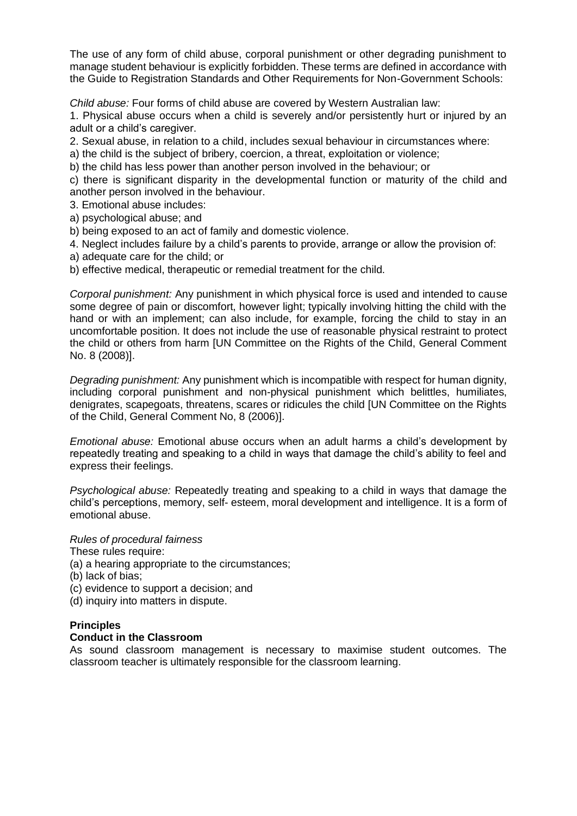The use of any form of child abuse, corporal punishment or other degrading punishment to manage student behaviour is explicitly forbidden. These terms are defined in accordance with the Guide to Registration Standards and Other Requirements for Non-Government Schools:

*Child abuse:* Four forms of child abuse are covered by Western Australian law:

1. Physical abuse occurs when a child is severely and/or persistently hurt or injured by an adult or a child's caregiver.

2. Sexual abuse, in relation to a child, includes sexual behaviour in circumstances where:

a) the child is the subject of bribery, coercion, a threat, exploitation or violence;

b) the child has less power than another person involved in the behaviour; or

c) there is significant disparity in the developmental function or maturity of the child and another person involved in the behaviour.

3. Emotional abuse includes:

- a) psychological abuse; and
- b) being exposed to an act of family and domestic violence.
- 4. Neglect includes failure by a child's parents to provide, arrange or allow the provision of:
- a) adequate care for the child; or
- b) effective medical, therapeutic or remedial treatment for the child.

*Corporal punishment:* Any punishment in which physical force is used and intended to cause some degree of pain or discomfort, however light; typically involving hitting the child with the hand or with an implement; can also include, for example, forcing the child to stay in an uncomfortable position. It does not include the use of reasonable physical restraint to protect the child or others from harm [UN Committee on the Rights of the Child, General Comment No. 8 (2008)].

*Degrading punishment:* Any punishment which is incompatible with respect for human dignity, including corporal punishment and non-physical punishment which belittles, humiliates, denigrates, scapegoats, threatens, scares or ridicules the child [UN Committee on the Rights of the Child, General Comment No, 8 (2006)].

*Emotional abuse:* Emotional abuse occurs when an adult harms a child's development by repeatedly treating and speaking to a child in ways that damage the child's ability to feel and express their feelings.

*Psychological abuse:* Repeatedly treating and speaking to a child in ways that damage the child's perceptions, memory, self- esteem, moral development and intelligence. It is a form of emotional abuse.

#### *Rules of procedural fairness*

These rules require:

(a) a hearing appropriate to the circumstances;

(b) lack of bias;

- (c) evidence to support a decision; and
- (d) inquiry into matters in dispute.

#### **Principles**

#### **Conduct in the Classroom**

As sound classroom management is necessary to maximise student outcomes. The classroom teacher is ultimately responsible for the classroom learning.